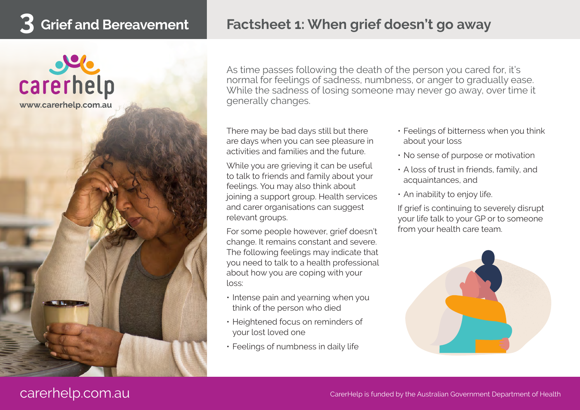## **3 Grief and Bereavement Factsheet 1: When grief doesn't go away**



As time passes following the death of the person you cared for, it's normal for feelings of sadness, numbness, or anger to gradually ease. While the sadness of losing someone may never go away, over time it generally changes.

There may be bad days still but there are days when you can see pleasure in activities and families and the future.

While you are grieving it can be useful to talk to friends and family about your feelings. You may also think about joining a support group. Health services and carer organisations can suggest relevant groups.

For some people however, grief doesn't change. It remains constant and severe. The following feelings may indicate that you need to talk to a health professional about how you are coping with your loss:

- Intense pain and yearning when you think of the person who died
- Heightened focus on reminders of your lost loved one
- Feelings of numbness in daily life
- Feelings of bitterness when you think about your loss
- No sense of purpose or motivation
- A loss of trust in friends, family, and acquaintances, and
- An inability to enjoy life.

If grief is continuing to severely disrupt your life talk to your GP or to someone from your health care team.

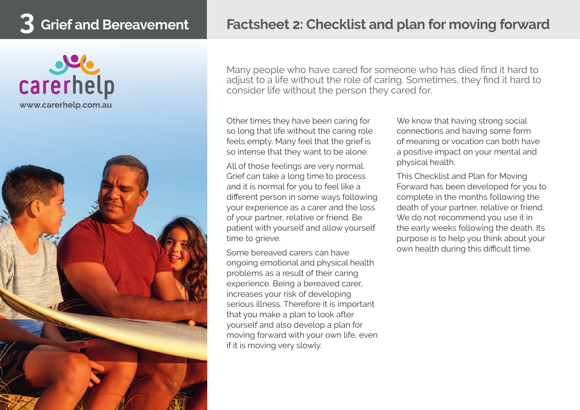



Many people who have cared for someone who has died find it hard to adjust to a life without the role of caring. Sometimes, they find it hard to consider life without the person they cared for.

Other times they have been caring for so long that life without the caring role feels empty. Many feel that the grief is so intense that they want to be alone.

All of those feelings are very normal. Grief can take a long time to process and it is normal for you to feel like a different person in some ways following your experience as a carer and the loss of your partner, relative or friend. Be patient with yourself and allow yourself time to grieve.

Some bereaved carers can have ongoing emotional and physical health problems as a result of their caring experience. Being a bereaved carer, increases your risk of developing serious illness. Therefore it is important that you make a plan to look after yourself and also develop a plan for moving forward with your own life, even if it is moving very slowly.

We know that having strong social connections and having some form of meaning or vocation can both have a positive impact on your mental and physical health.

This Checklist and Plan for Moving Forward has been developed for you to complete in the months following the death of your partner, relative or friend. We do not recommend you use it in the early weeks following the death. Its purpose is to help you think about your own health during this difficult time.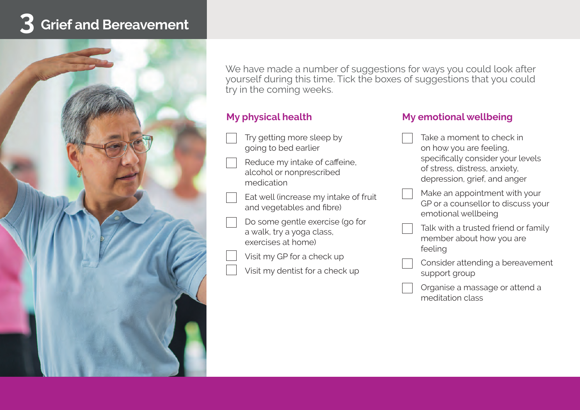# **3 Grief and Bereavement**



We have made a number of suggestions for ways you could look after yourself during this time. Tick the boxes of suggestions that you could try in the coming weeks.

### **My physical health**

- Try getting more sleep by going to bed earlier
- Reduce my intake of caffeine, alcohol or nonprescribed medication
- Eat well (increase my intake of fruit and vegetables and fibre)
- Do some gentle exercise (go for a walk, try a yoga class, exercises at home)
	- Visit my GP for a check up
- Visit my dentist for a check up

#### **My emotional wellbeing**

- Take a moment to check in on how you are feeling, specifically consider your levels of stress, distress, anxiety, depression, grief, and anger
- Make an appointment with your GP or a counsellor to discuss your emotional wellbeing
- Talk with a trusted friend or family member about how you are feeling
- Consider attending a bereavement support group
- Organise a massage or attend a meditation class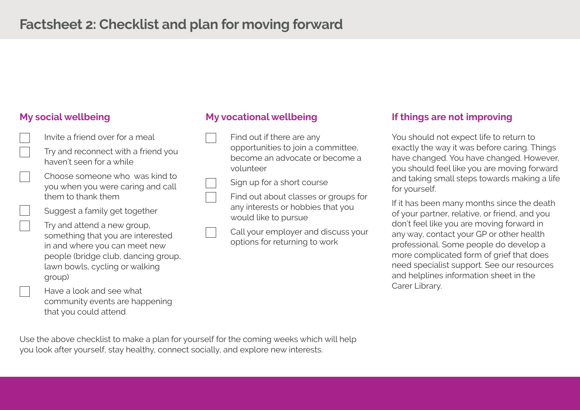### **My social wellbeing**



Have a look and see what community events are happening that you could attend

### **My vocational wellbeing**

- Find out if there are any opportunities to join a committee, become an advocate or become a volunteer
- Sign up for a short course
- Find out about classes or groups for any interests or hobbies that you would like to pursue
- Call your employer and discuss your options for returning to work

#### **If things are not improving**

You should not expect life to return to exactly the way it was before caring. Things have changed. You have changed. However, you should feel like you are moving forward and taking small steps towards making a life for yourself.

If it has been many months since the death of your partner, relative, or friend, and you don't feel like you are moving forward in any way, contact your GP or other health professional. Some people do develop a more complicated form of grief that does need specialist support. See our resources and helplines information sheet in the Carer Library.

Use the above checklist to make a plan for yourself for the coming weeks which will help you look after yourself, stay healthy, connect socially, and explore new interests.